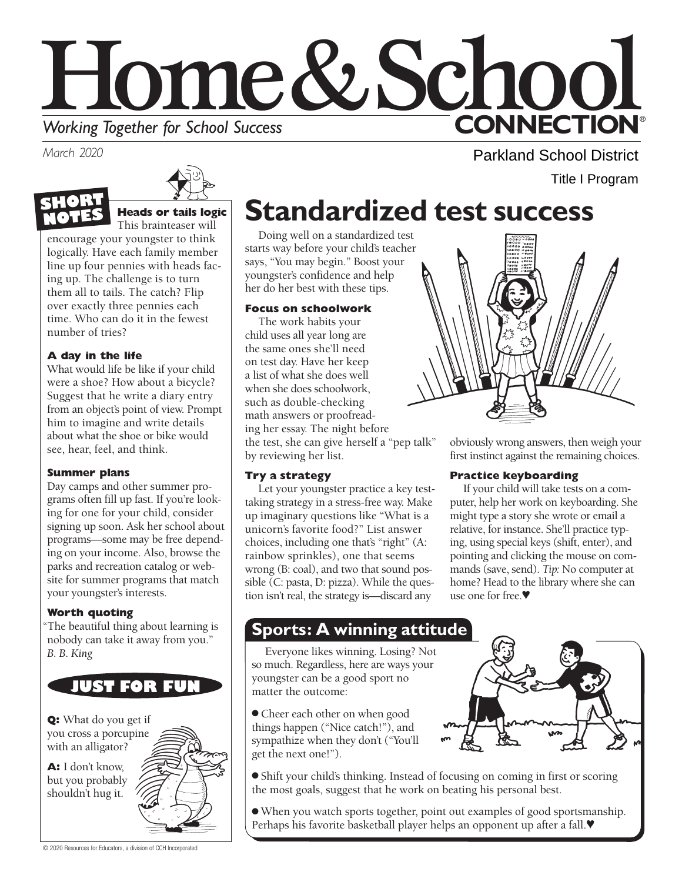

*March 2020* 



# **Heads or tails logic**

This brainteaser will

encourage your youngster to think logically. Have each family member line up four pennies with heads facing up. The challenge is to turn them all to tails. The catch? Flip over exactly three pennies each time. Who can do it in the fewest number of tries?

### **A day in the life**

What would life be like if your child were a shoe? How about a bicycle? Suggest that he write a diary entry from an object's point of view. Prompt him to imagine and write details about what the shoe or bike would see, hear, feel, and think.

### **Summer plans**

Day camps and other summer programs often fill up fast. If you're looking for one for your child, consider signing up soon. Ask her school about programs—some may be free depending on your income. Also, browse the parks and recreation catalog or website for summer programs that match your youngster's interests.

### **Worth quoting**

"The beautiful thing about learning is nobody can take it away from you." *B. B. King* 



**Q:** What do you get if you cross a porcupine with an alligator?

**A:** I don't know, but you probably shouldn't hug it.



## **Standardized test success**

Doing well on a standardized test starts way before your child's teacher says, "You may begin." Boost your youngster's confidence and help her do her best with these tips.

#### **Focus on schoolwork**

The work habits your child uses all year long are the same ones she'll need on test day. Have her keep a list of what she does well when she does schoolwork, such as double-checking math answers or proofreading her essay. The night before the test, she can give herself a "pep talk" by reviewing her list.

### **Try a strategy**

Let your youngster practice a key testtaking strategy in a stress-free way. Make up imaginary questions like "What is a unicorn's favorite food?" List answer choices, including one that's "right" (A: rainbow sprinkles), one that seems wrong (B: coal), and two that sound possible (C: pasta, D: pizza). While the question isn't real, the strategy is—discard any

obviously wrong answers, then weigh your first instinct against the remaining choices.

Parkland School District

Title I Program

### **Practice keyboarding**

If your child will take tests on a computer, help her work on keyboarding. She might type a story she wrote or email a relative, for instance. She'll practice typing, using special keys (shift, enter), and pointing and clicking the mouse on commands (save, send). *Tip:* No computer at home? Head to the library where she can use one for free.♥

### **Sports: A winning attitude**

Everyone likes winning. Losing? Not so much. Regardless, here are ways your youngster can be a good sport no matter the outcome:

 get the next one!"). ● Cheer each other on when good things happen ("Nice catch!"), and sympathize when they don't ("You'll



● Shift your child's thinking. Instead of focusing on coming in first or scoring the most goals, suggest that he work on beating his personal best.

● When you watch sports together, point out examples of good sportsmanship. Perhaps his favorite basketball player helps an opponent up after a fall.♥

© 2020 Resources for Educators, a division of CCH Incorporated